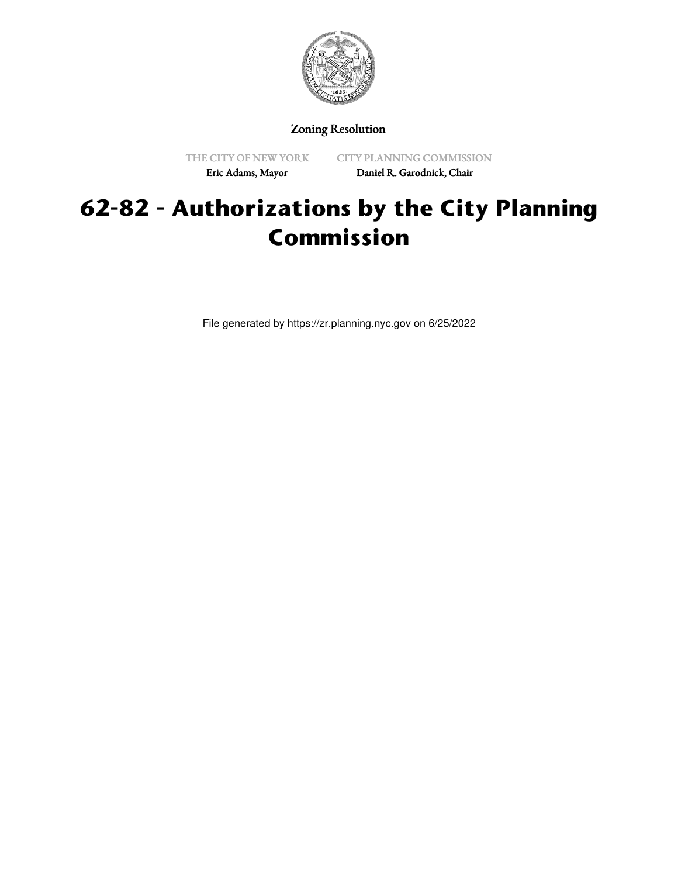

Zoning Resolution

THE CITY OF NEW YORK Eric Adams, Mayor

CITY PLANNING COMMISSION Daniel R. Garodnick, Chair

# **62-82 - Authorizations by the City Planning Commission**

File generated by https://zr.planning.nyc.gov on 6/25/2022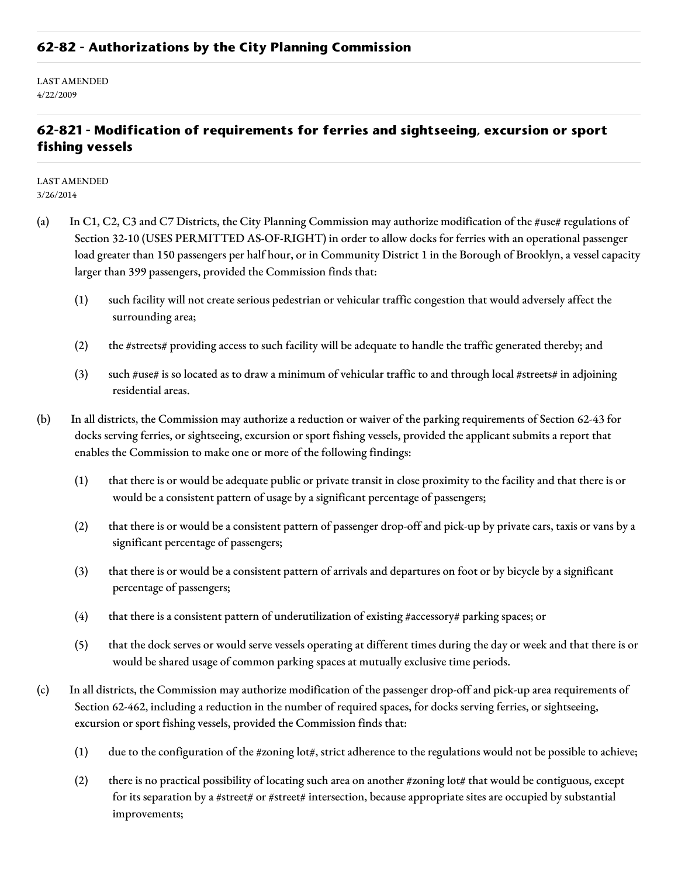#### **62-82 - Authorizations by the City Planning Commission**

LAST AMENDED 4/22/2009

### **62-821 - Modification of requirements for ferries and sightseeing, excursion or sport fishing vessels**

LAST AMENDED 3/26/2014

- (a) In C1, C2, C3 and C7 Districts, the City Planning Commission may authorize modification of the #use# regulations of Section 32-10 (USES PERMITTED AS-OF-RIGHT) in order to allow docks for ferries with an operational passenger load greater than 150 passengers per half hour, or in Community District 1 in the Borough of Brooklyn, a vessel capacity larger than 399 passengers, provided the Commission finds that:
	- (1) such facility will not create serious pedestrian or vehicular traffic congestion that would adversely affect the surrounding area;
	- (2) the #streets# providing access to such facility will be adequate to handle the traffic generated thereby; and
	- (3) such #use# is so located as to draw a minimum of vehicular traffic to and through local #streets# in adjoining residential areas.
- (b) In all districts, the Commission may authorize a reduction or waiver of the parking requirements of Section 62-43 for docks serving ferries, or sightseeing, excursion or sport fishing vessels, provided the applicant submits a report that enables the Commission to make one or more of the following findings:
	- (1) that there is or would be adequate public or private transit in close proximity to the facility and that there is or would be a consistent pattern of usage by a significant percentage of passengers;
	- (2) that there is or would be a consistent pattern of passenger drop-off and pick-up by private cars, taxis or vans by a significant percentage of passengers;
	- (3) that there is or would be a consistent pattern of arrivals and departures on foot or by bicycle by a significant percentage of passengers;
	- (4) that there is a consistent pattern of underutilization of existing  $\#$  accessory $\#$  parking spaces; or
	- (5) that the dock serves or would serve vessels operating at different times during the day or week and that there is or would be shared usage of common parking spaces at mutually exclusive time periods.
- (c) In all districts, the Commission may authorize modification of the passenger drop-off and pick-up area requirements of Section 62-462, including a reduction in the number of required spaces, for docks serving ferries, or sightseeing, excursion or sport fishing vessels, provided the Commission finds that:
	- (1) due to the configuration of the #zoning lot#, strict adherence to the regulations would not be possible to achieve;
	- (2) there is no practical possibility of locating such area on another  $\#z$ oning lot $\#$  that would be contiguous, except for its separation by a #street# or #street# intersection, because appropriate sites are occupied by substantial improvements;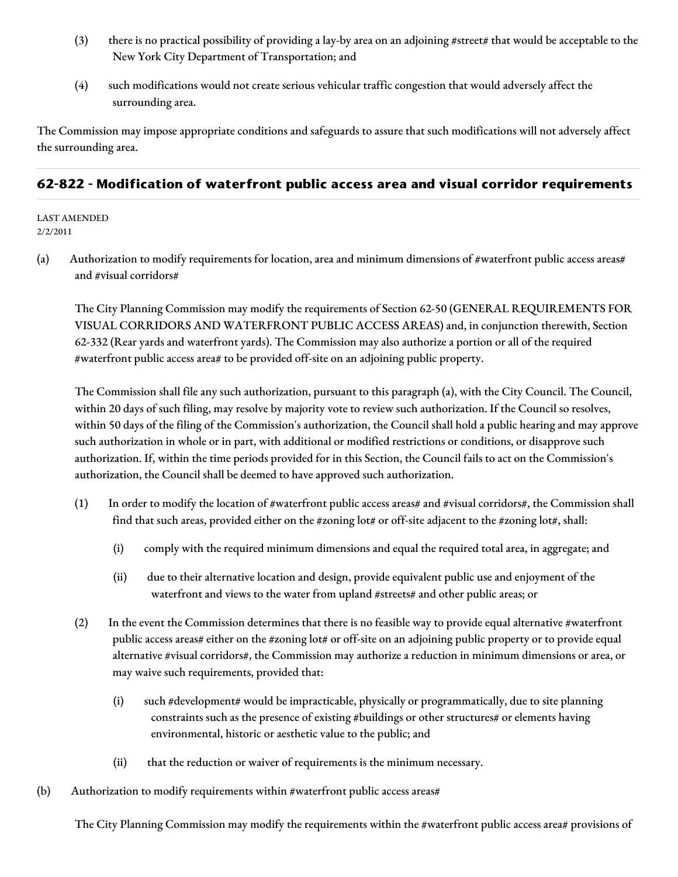- (3) there is no practical possibility of providing a lay-by area on an adjoining #street# that would be acceptable to the New York City Department of Transportation; and
- (4) such modifications would not create serious vehicular traffic congestion that would adversely affect the surrounding area.

The Commission may impose appropriate conditions and safeguards to assure that such modifications will not adversely affect the surrounding area.

### **62-822 - Modification of waterfront public access area and visual corridor requirements**

LAST AMENDED 2/2/2011

(a) Authorization to modify requirements for location, area and minimum dimensions of #waterfront public access areas# and #visual corridors#

The City Planning Commission may modify the requirements of Section 62-50 (GENERAL REQUIREMENTS FOR VISUAL CORRIDORS AND WATERFRONT PUBLIC ACCESS AREAS) and, in conjunction therewith, Section 62-332 (Rear yards and waterfront yards). The Commission may also authorize a portion or all of the required #waterfront public access area# to be provided off-site on an adjoining public property.

The Commission shall file any such authorization, pursuant to this paragraph (a), with the City Council. The Council, within 20 days of such filing, may resolve by majority vote to review such authorization. If the Council so resolves, within 50 days of the filing of the Commission's authorization, the Council shall hold a public hearing and may approve such authorization in whole or in part, with additional or modified restrictions or conditions, or disapprove such authorization. If, within the time periods provided for in this Section, the Council fails to act on the Commission's authorization, the Council shall be deemed to have approved such authorization.

- (1) In order to modify the location of #waterfront public access areas# and #visual corridors#, the Commission shall find that such areas, provided either on the #zoning lot# or off-site adjacent to the #zoning lot#, shall:
	- (i) comply with the required minimum dimensions and equal the required total area, in aggregate; and
	- (ii) due to their alternative location and design, provide equivalent public use and enjoyment of the waterfront and views to the water from upland #streets# and other public areas; or
- (2) In the event the Commission determines that there is no feasible way to provide equal alternative #waterfront public access areas# either on the #zoning lot# or off-site on an adjoining public property or to provide equal alternative #visual corridors#, the Commission may authorize a reduction in minimum dimensions or area, or may waive such requirements, provided that:
	- (i) such #development# would be impracticable, physically or programmatically, due to site planning constraints such as the presence of existing #buildings or other structures# or elements having environmental, historic or aesthetic value to the public; and
	- (ii) that the reduction or waiver of requirements is the minimum necessary.
- (b) Authorization to modify requirements within #waterfront public access areas#

The City Planning Commission may modify the requirements within the #waterfront public access area# provisions of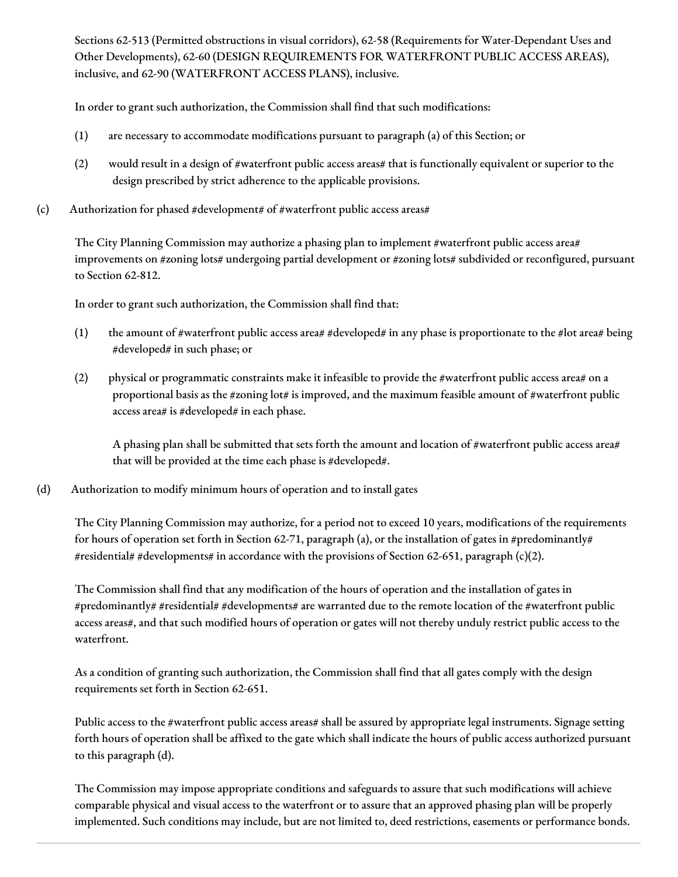Sections 62-513 (Permitted obstructions in visual corridors), 62-58 (Requirements for Water-Dependant Uses and Other Developments), 62-60 (DESIGN REQUIREMENTS FOR WATERFRONT PUBLIC ACCESS AREAS), inclusive, and 62-90 (WATERFRONT ACCESS PLANS), inclusive.

In order to grant such authorization, the Commission shall find that such modifications:

- (1) are necessary to accommodate modifications pursuant to paragraph (a) of this Section; or
- (2) would result in a design of #waterfront public access areas# that is functionally equivalent or superior to the design prescribed by strict adherence to the applicable provisions.
- (c) Authorization for phased #development# of #waterfront public access areas#

The City Planning Commission may authorize a phasing plan to implement #waterfront public access area# improvements on #zoning lots# undergoing partial development or #zoning lots# subdivided or reconfigured, pursuant to Section 62-812.

In order to grant such authorization, the Commission shall find that:

- (1) the amount of #waterfront public access area# #developed# in any phase is proportionate to the #lot area# being #developed# in such phase; or
- (2) physical or programmatic constraints make it infeasible to provide the #waterfront public access area# on a proportional basis as the #zoning lot# is improved, and the maximum feasible amount of #waterfront public access area# is #developed# in each phase.

A phasing plan shall be submitted that sets forth the amount and location of #waterfront public access area# that will be provided at the time each phase is #developed#.

(d) Authorization to modify minimum hours of operation and to install gates

The City Planning Commission may authorize, for a period not to exceed 10 years, modifications of the requirements for hours of operation set forth in Section 62-71, paragraph (a), or the installation of gates in #predominantly# #residential# #developments# in accordance with the provisions of Section 62-651, paragraph (c)(2).

The Commission shall find that any modification of the hours of operation and the installation of gates in #predominantly# #residential# #developments# are warranted due to the remote location of the #waterfront public access areas#, and that such modified hours of operation or gates will not thereby unduly restrict public access to the waterfront.

As a condition of granting such authorization, the Commission shall find that all gates comply with the design requirements set forth in Section 62-651.

Public access to the #waterfront public access areas# shall be assured by appropriate legal instruments. Signage setting forth hours of operation shall be affixed to the gate which shall indicate the hours of public access authorized pursuant to this paragraph (d).

The Commission may impose appropriate conditions and safeguards to assure that such modifications will achieve comparable physical and visual access to the waterfront or to assure that an approved phasing plan will be properly implemented. Such conditions may include, but are not limited to, deed restrictions, easements or performance bonds.